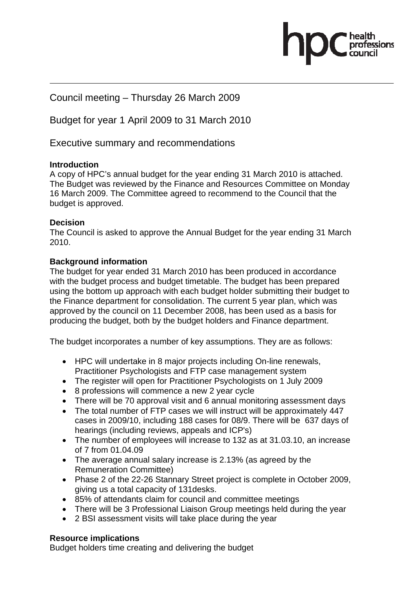Council meeting – Thursday 26 March 2009

Budget for year 1 April 2009 to 31 March 2010

Executive summary and recommendations

# **Introduction**

A copy of HPC's annual budget for the year ending 31 March 2010 is attached. The Budget was reviewed by the Finance and Resources Committee on Monday 16 March 2009. The Committee agreed to recommend to the Council that the budget is approved.

### **Decision**

The Council is asked to approve the Annual Budget for the year ending 31 March 2010.

### **Background information**

The budget for year ended 31 March 2010 has been produced in accordance with the budget process and budget timetable. The budget has been prepared using the bottom up approach with each budget holder submitting their budget to the Finance department for consolidation. The current 5 year plan, which was approved by the council on 11 December 2008, has been used as a basis for producing the budget, both by the budget holders and Finance department.

The budget incorporates a number of key assumptions. They are as follows:

- HPC will undertake in 8 major projects including On-line renewals, Practitioner Psychologists and FTP case management system
- The register will open for Practitioner Psychologists on 1 July 2009
- 8 professions will commence a new 2 year cycle
- There will be 70 approval visit and 6 annual monitoring assessment days
- The total number of FTP cases we will instruct will be approximately 447 cases in 2009/10, including 188 cases for 08/9. There will be 637 days of hearings (including reviews, appeals and ICP's)
- The number of employees will increase to 132 as at 31.03.10, an increase of 7 from 01.04.09
- The average annual salary increase is 2.13% (as agreed by the Remuneration Committee)
- Phase 2 of the 22-26 Stannary Street project is complete in October 2009, giving us a total capacity of 131desks.
- 85% of attendants claim for council and committee meetings
- There will be 3 Professional Liaison Group meetings held during the year
- 2 BSI assessment visits will take place during the year

# **Resource implications**

Budget holders time creating and delivering the budget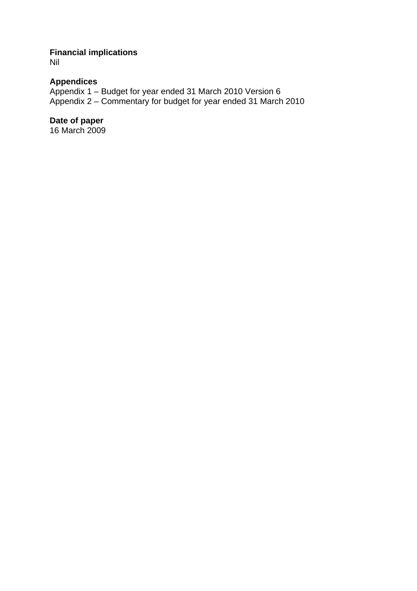# **Financial implications**

Nil

# **Appendices**

Appendix 1 – Budget for year ended 31 March 2010 Version 6 Appendix 2 – Commentary for budget for year ended 31 March 2010

# **Date of paper**

16 March 2009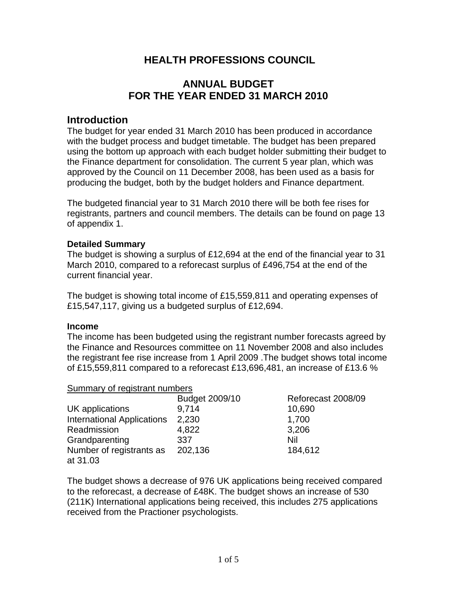# **HEALTH PROFESSIONS COUNCIL**

# **ANNUAL BUDGET FOR THE YEAR ENDED 31 MARCH 2010**

# **Introduction**

The budget for year ended 31 March 2010 has been produced in accordance with the budget process and budget timetable. The budget has been prepared using the bottom up approach with each budget holder submitting their budget to the Finance department for consolidation. The current 5 year plan, which was approved by the Council on 11 December 2008, has been used as a basis for producing the budget, both by the budget holders and Finance department.

The budgeted financial year to 31 March 2010 there will be both fee rises for registrants, partners and council members. The details can be found on page 13 of appendix 1.

#### **Detailed Summary**

The budget is showing a surplus of £12,694 at the end of the financial year to 31 March 2010, compared to a reforecast surplus of £496,754 at the end of the current financial year.

The budget is showing total income of £15,559,811 and operating expenses of £15,547,117, giving us a budgeted surplus of £12,694.

#### **Income**

The income has been budgeted using the registrant number forecasts agreed by the Finance and Resources committee on 11 November 2008 and also includes the registrant fee rise increase from 1 April 2009 .The budget shows total income of £15,559,811 compared to a reforecast £13,696,481, an increase of £13.6 %

#### Summary of registrant numbers

| <u>sammary or region and namedie</u> |                |                    |
|--------------------------------------|----------------|--------------------|
|                                      | Budget 2009/10 | Reforecast 2008/09 |
| UK applications                      | 9,714          | 10,690             |
| <b>International Applications</b>    | 2,230          | 1,700              |
| Readmission                          | 4,822          | 3,206              |
| Grandparenting                       | 337            | Nil                |
| Number of registrants as             | 202,136        | 184,612            |
| at 31.03                             |                |                    |

The budget shows a decrease of 976 UK applications being received compared to the reforecast, a decrease of £48K. The budget shows an increase of 530 (211K) International applications being received, this includes 275 applications received from the Practioner psychologists.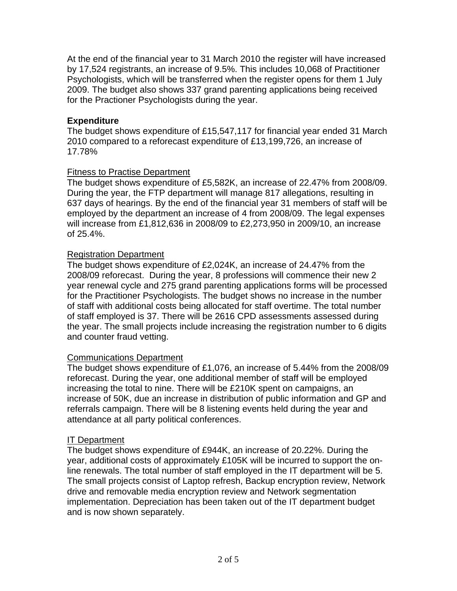At the end of the financial year to 31 March 2010 the register will have increased by 17,524 registrants, an increase of 9.5%. This includes 10,068 of Practitioner Psychologists, which will be transferred when the register opens for them 1 July 2009. The budget also shows 337 grand parenting applications being received for the Practioner Psychologists during the year.

#### **Expenditure**

The budget shows expenditure of £15,547,117 for financial year ended 31 March 2010 compared to a reforecast expenditure of £13,199,726, an increase of 17.78%

### **Fitness to Practise Department**

The budget shows expenditure of £5,582K, an increase of 22.47% from 2008/09. During the year, the FTP department will manage 817 allegations, resulting in 637 days of hearings. By the end of the financial year 31 members of staff will be employed by the department an increase of 4 from 2008/09. The legal expenses will increase from £1,812,636 in 2008/09 to £2,273,950 in 2009/10, an increase of 25.4%.

# Registration Department

The budget shows expenditure of £2,024K, an increase of 24.47% from the 2008/09 reforecast. During the year, 8 professions will commence their new 2 year renewal cycle and 275 grand parenting applications forms will be processed for the Practitioner Psychologists. The budget shows no increase in the number of staff with additional costs being allocated for staff overtime. The total number of staff employed is 37. There will be 2616 CPD assessments assessed during the year. The small projects include increasing the registration number to 6 digits and counter fraud vetting.

#### Communications Department

The budget shows expenditure of £1,076, an increase of 5.44% from the 2008/09 reforecast. During the year, one additional member of staff will be employed increasing the total to nine. There will be £210K spent on campaigns, an increase of 50K, due an increase in distribution of public information and GP and referrals campaign. There will be 8 listening events held during the year and attendance at all party political conferences.

#### IT Department

The budget shows expenditure of £944K, an increase of 20.22%. During the year, additional costs of approximately £105K will be incurred to support the online renewals. The total number of staff employed in the IT department will be 5. The small projects consist of Laptop refresh, Backup encryption review, Network drive and removable media encryption review and Network segmentation implementation. Depreciation has been taken out of the IT department budget and is now shown separately.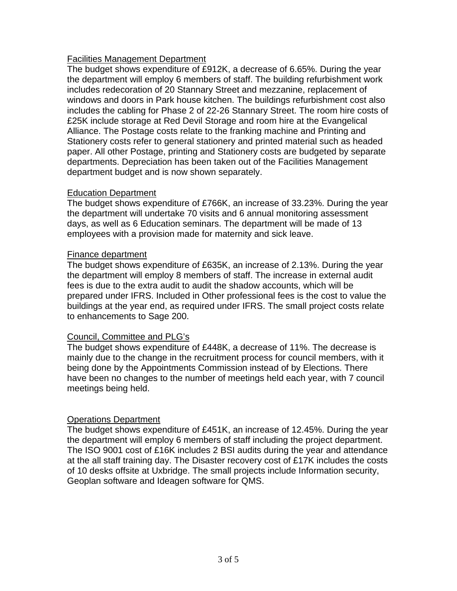#### Facilities Management Department

The budget shows expenditure of £912K, a decrease of 6.65%. During the year the department will employ 6 members of staff. The building refurbishment work includes redecoration of 20 Stannary Street and mezzanine, replacement of windows and doors in Park house kitchen. The buildings refurbishment cost also includes the cabling for Phase 2 of 22-26 Stannary Street. The room hire costs of £25K include storage at Red Devil Storage and room hire at the Evangelical Alliance. The Postage costs relate to the franking machine and Printing and Stationery costs refer to general stationery and printed material such as headed paper. All other Postage, printing and Stationery costs are budgeted by separate departments. Depreciation has been taken out of the Facilities Management department budget and is now shown separately.

#### Education Department

The budget shows expenditure of £766K, an increase of 33.23%. During the year the department will undertake 70 visits and 6 annual monitoring assessment days, as well as 6 Education seminars. The department will be made of 13 employees with a provision made for maternity and sick leave.

### Finance department

The budget shows expenditure of £635K, an increase of 2.13%. During the year the department will employ 8 members of staff. The increase in external audit fees is due to the extra audit to audit the shadow accounts, which will be prepared under IFRS. Included in Other professional fees is the cost to value the buildings at the year end, as required under IFRS. The small project costs relate to enhancements to Sage 200.

#### Council, Committee and PLG's

The budget shows expenditure of £448K, a decrease of 11%. The decrease is mainly due to the change in the recruitment process for council members, with it being done by the Appointments Commission instead of by Elections. There have been no changes to the number of meetings held each year, with 7 council meetings being held.

#### Operations Department

The budget shows expenditure of £451K, an increase of 12.45%. During the year the department will employ 6 members of staff including the project department. The ISO 9001 cost of £16K includes 2 BSI audits during the year and attendance at the all staff training day. The Disaster recovery cost of £17K includes the costs of 10 desks offsite at Uxbridge. The small projects include Information security, Geoplan software and Ideagen software for QMS.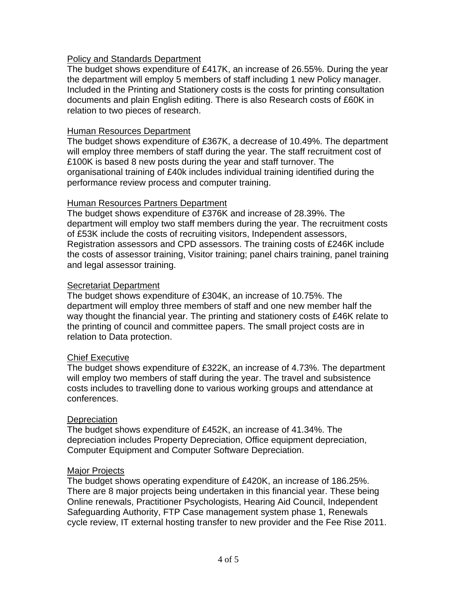#### Policy and Standards Department

The budget shows expenditure of £417K, an increase of 26.55%. During the year the department will employ 5 members of staff including 1 new Policy manager. Included in the Printing and Stationery costs is the costs for printing consultation documents and plain English editing. There is also Research costs of £60K in relation to two pieces of research.

#### Human Resources Department

The budget shows expenditure of £367K, a decrease of 10.49%. The department will employ three members of staff during the year. The staff recruitment cost of £100K is based 8 new posts during the year and staff turnover. The organisational training of £40k includes individual training identified during the performance review process and computer training.

### Human Resources Partners Department

The budget shows expenditure of £376K and increase of 28.39%. The department will employ two staff members during the year. The recruitment costs of £53K include the costs of recruiting visitors, Independent assessors, Registration assessors and CPD assessors. The training costs of £246K include the costs of assessor training, Visitor training; panel chairs training, panel training and legal assessor training.

#### Secretariat Department

The budget shows expenditure of £304K, an increase of 10.75%. The department will employ three members of staff and one new member half the way thought the financial year. The printing and stationery costs of £46K relate to the printing of council and committee papers. The small project costs are in relation to Data protection.

#### Chief Executive

The budget shows expenditure of £322K, an increase of 4.73%. The department will employ two members of staff during the year. The travel and subsistence costs includes to travelling done to various working groups and attendance at conferences.

#### **Depreciation**

The budget shows expenditure of £452K, an increase of 41.34%. The depreciation includes Property Depreciation, Office equipment depreciation, Computer Equipment and Computer Software Depreciation.

#### Major Projects

The budget shows operating expenditure of £420K, an increase of 186.25%. There are 8 major projects being undertaken in this financial year. These being Online renewals, Practitioner Psychologists, Hearing Aid Council, Independent Safeguarding Authority, FTP Case management system phase 1, Renewals cycle review, IT external hosting transfer to new provider and the Fee Rise 2011.